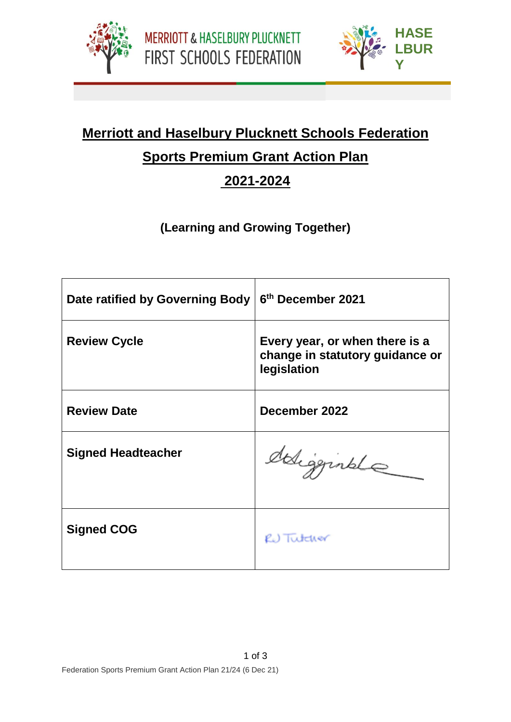



**PLUC**

## **Merriott and Haselbury Plucknett Schools Federation Sports Premium Grant Action Plan**

## **2021-2024**

## **(Learning and Growing Together)**

| Date ratified by Governing Body | 6th December 2021                                                                |
|---------------------------------|----------------------------------------------------------------------------------|
| <b>Review Cycle</b>             | Every year, or when there is a<br>change in statutory guidance or<br>legislation |
| <b>Review Date</b>              | December 2022                                                                    |
| <b>Signed Headteacher</b>       | edigginale                                                                       |
| <b>Signed COG</b>               | RU Tutcher                                                                       |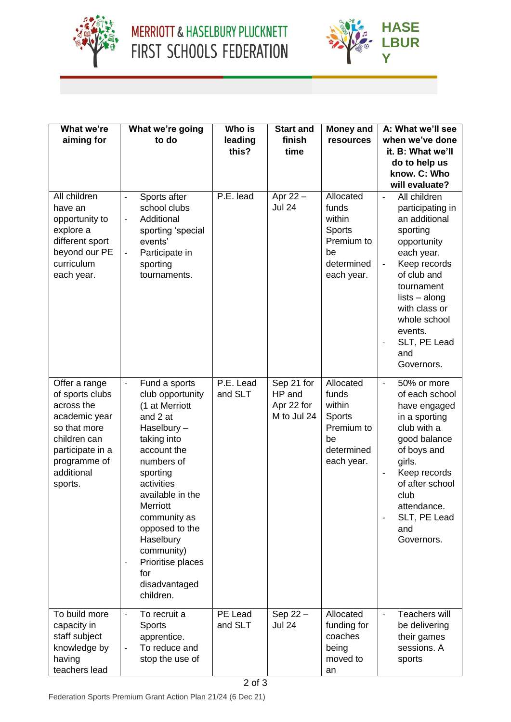





| What we're<br>aiming for                                                                                                                                     | What we're going<br>to do                                                                                                                                                                                                                                                                                                              | Who is<br>leading    | <b>Start and</b><br>finish                        | <b>Money and</b><br>resources                                                                 | A: What we'll see<br>when we've done                                                                                                                                                                                                                                                            |  |
|--------------------------------------------------------------------------------------------------------------------------------------------------------------|----------------------------------------------------------------------------------------------------------------------------------------------------------------------------------------------------------------------------------------------------------------------------------------------------------------------------------------|----------------------|---------------------------------------------------|-----------------------------------------------------------------------------------------------|-------------------------------------------------------------------------------------------------------------------------------------------------------------------------------------------------------------------------------------------------------------------------------------------------|--|
|                                                                                                                                                              |                                                                                                                                                                                                                                                                                                                                        | this?                | time                                              |                                                                                               | it. B: What we'll<br>do to help us                                                                                                                                                                                                                                                              |  |
|                                                                                                                                                              |                                                                                                                                                                                                                                                                                                                                        |                      |                                                   |                                                                                               | know. C: Who<br>will evaluate?                                                                                                                                                                                                                                                                  |  |
| All children<br>have an<br>opportunity to<br>explore a<br>different sport<br>beyond our PE<br>curriculum<br>each year.                                       | Sports after<br>$\Box$<br>school clubs<br>Additional<br>$\overline{\phantom{a}}$<br>sporting 'special<br>events'<br>Participate in<br>$\Box$<br>sporting<br>tournaments.                                                                                                                                                               | P.E. lead            | Apr 22 -<br><b>Jul 24</b>                         | Allocated<br>funds<br>within<br>Sports<br>Premium to<br>be<br>determined<br>each year.        | All children<br>$\Box$<br>participating in<br>an additional<br>sporting<br>opportunity<br>each year.<br>Keep records<br>$\Box$<br>of club and<br>tournament<br>$lists - along$<br>with class or<br>whole school<br>events.<br>SLT, PE Lead<br>and<br>Governors.                                 |  |
| Offer a range<br>of sports clubs<br>across the<br>academic year<br>so that more<br>children can<br>participate in a<br>programme of<br>additional<br>sports. | Fund a sports<br>$\Box$<br>club opportunity<br>(1 at Merriott<br>and 2 at<br>Haselbury-<br>taking into<br>account the<br>numbers of<br>sporting<br>activities<br>available in the<br>Merriott<br>community as<br>opposed to the<br>Haselbury<br>community)<br>Prioritise places<br>$\blacksquare$<br>for<br>disadvantaged<br>children. | P.E. Lead<br>and SLT | Sep 21 for<br>HP and<br>Apr 22 for<br>M to Jul 24 | Allocated<br>funds<br>within<br><b>Sports</b><br>Premium to<br>be<br>determined<br>each year. | 50% or more<br>$\overline{\phantom{a}}$<br>of each school<br>have engaged<br>in a sporting<br>club with a<br>good balance<br>of boys and<br>girls.<br>Keep records<br>$\blacksquare$<br>of after school<br>club<br>attendance.<br>SLT, PE Lead<br>$\overline{\phantom{a}}$<br>and<br>Governors. |  |
| To build more<br>capacity in<br>staff subject<br>knowledge by<br>having<br>teachers lead                                                                     | To recruit a<br>$\blacksquare$<br>Sports<br>apprentice.<br>To reduce and<br>$\overline{\phantom{a}}$<br>stop the use of                                                                                                                                                                                                                | PE Lead<br>and SLT   | Sep 22 $-$<br><b>Jul 24</b>                       | Allocated<br>funding for<br>coaches<br>being<br>moved to<br>an                                | Teachers will<br>$\overline{a}$<br>be delivering<br>their games<br>sessions. A<br>sports                                                                                                                                                                                                        |  |